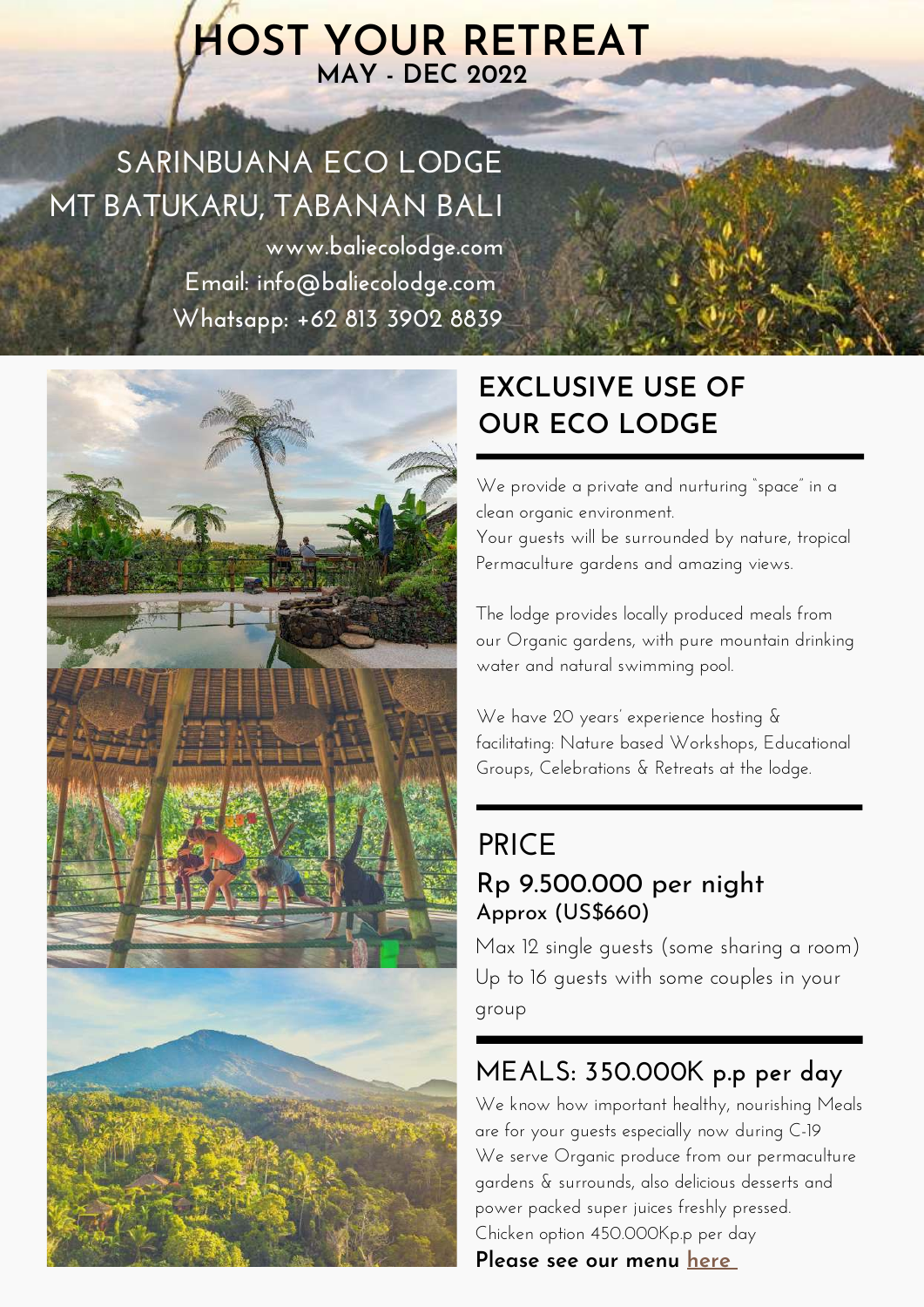# **HOST YOUR RETREAT MAY - DEC 2022**

# **SARINBUANA ECO LODGE MT BATUKARU, TABANAN BALI**

**www.baliecolodge.com Email: info@baliecolodge.com Whatsapp: +62 813 3902 8839**



## **EXCLUSIVE USE OF OUR ECO LODGE**

We provide a private and nurturing "space" in a clean organic environment. Your guests will be surrounded by nature, tropical Permaculture gardens and amazing views.

The lodge provides locally produced meals from our Organic gardens, with pure mountain drinking water and natural swimming pool.

We have 20 years' experience hosting & facilitating: Nature based Workshops, Educational Groups, Celebrations & Retreats at the lodge.

### **PRICE** Rp 9.500.000 per night Approx (US\$660)

Max 12 single guests (some sharing a room) Up to 16 guests with some couples in your group

### **MEALS: 350.000K p.p per day**

We know how important healthy, nourishing Meals are for your guests especially now during C-19 We serve Organic produce from our permaculture gardens & surrounds, also delicious desserts and power packed super juices freshly pressed. Chicken option 450.000Kp.p per day **Please see our menu [here](https://www.baliecolodge.com/eco-friendly-meals)**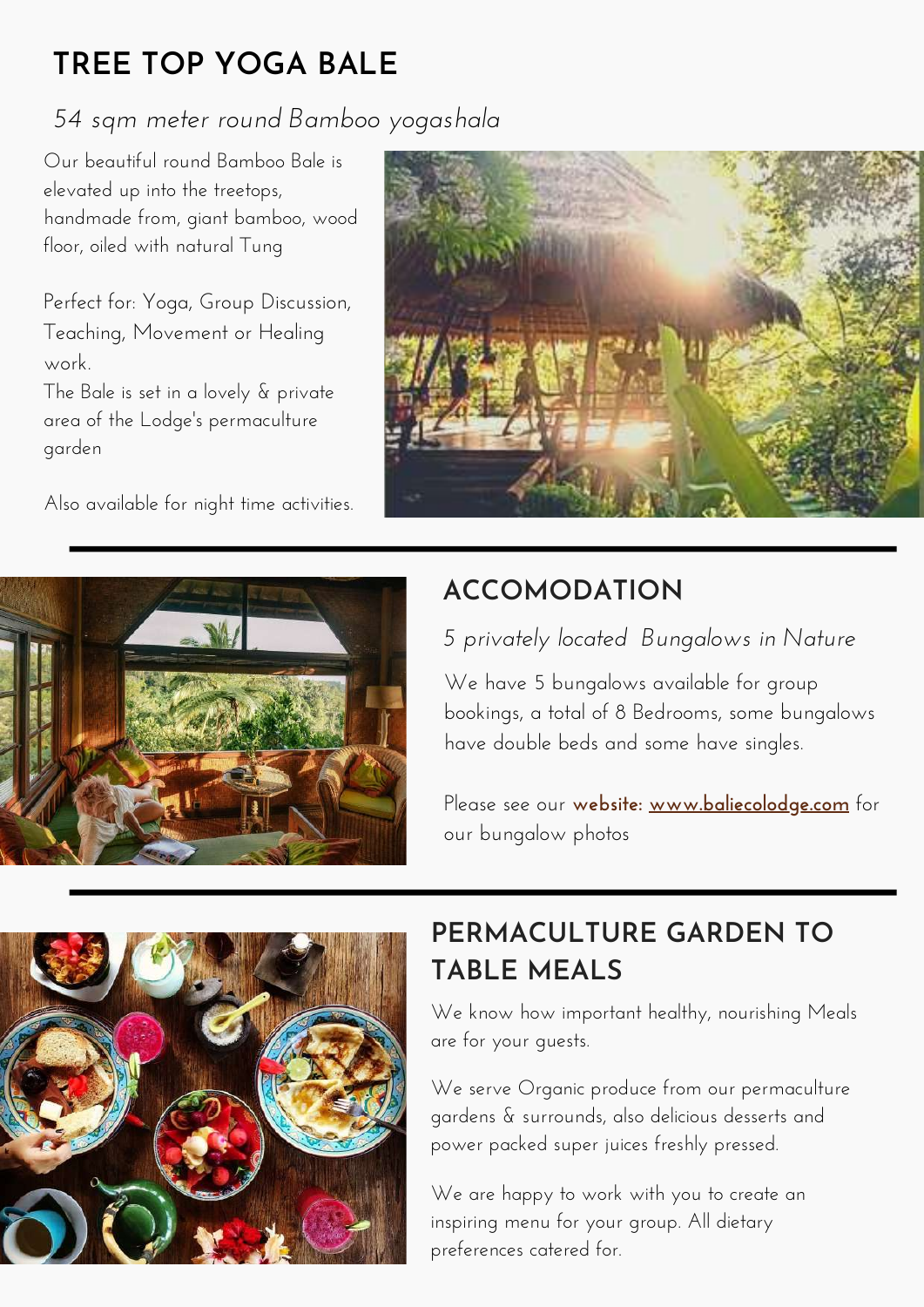# **TREE TOP YOGA BALE**

#### *54 sqm meter round Bamboo yogashala*

Our beautiful round Bamboo Bale is elevated up into the treetops, handmade from, giant bamboo, wood floor, oiled with natural Tung

Perfect for: Yoga, Group Discussion, Teaching, Movement or Healing work.

The Bale is set in a lovely & private area of the Lodge's permaculture garden

Also available for night time activities.





## **ACCOMODATION**

#### *5 privately located Bungalows in Nature*

We have 5 bungalows available for group bookings, a total of 8 Bedrooms, some bungalows have double beds and some have singles.

Please see our **[website:](http://www.baliecolodge.com/bungalows-1) [www.baliecolodge.com](https://www.baliecolodge.com/bungalows-1)** for our bungalow photos



## **PERMACULTURE GARDEN TO TABLE MEALS**

We know how important healthy, nourishing Meals are for your guests.

We serve Organic produce from our permaculture gardens & surrounds, also delicious desserts and power packed super juices freshly pressed.

We are happy to work with you to create an inspiring menu for your group. All dietary preferences catered for.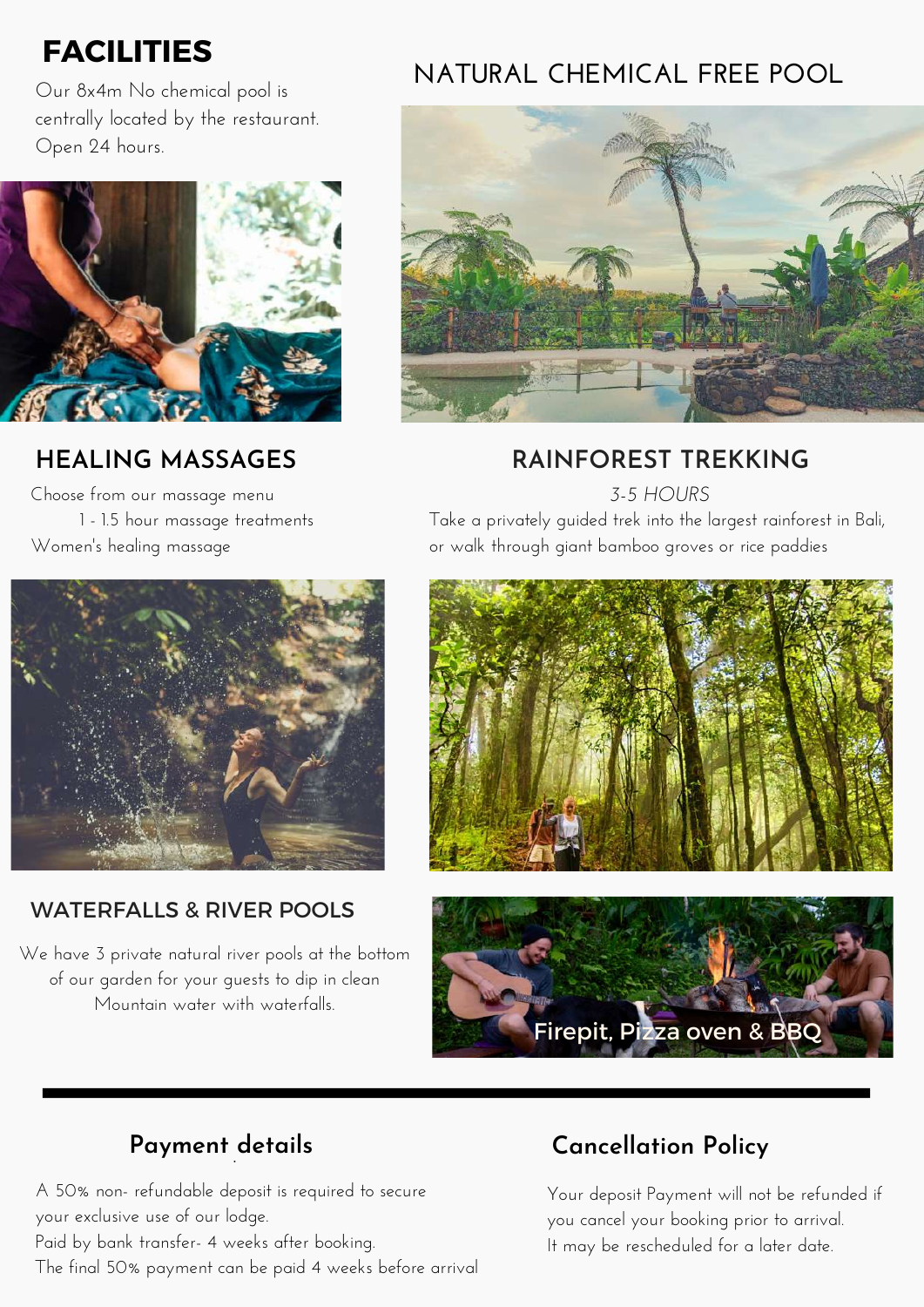## **FACILITIES**

Our 8x4m No chemical pool is centrally located by the restaurant. Open 24 hours.



#### **HEALING MASSAGES**

Choose from our massage menu 1 - 1.5 hour massage treatments Women's healing massage

## **NATURAL CHEMICAL FREE POOL**



#### **RAINFOREST TREKKING**

*3-5 HOURS*

Take a privately guided trek into the largest rainforest in Bali, or walk through giant bamboo groves or rice paddies



#### WATERFALLS & RIVER POOLS

We have 3 private natural river pools at the bottom of our garden for your guests to dip in clean Mountain water with waterfalls.





#### **Payment details** ·

A 50% non- refundable deposit is required to secure your exclusive use of our lodge. Paid by bank transfer- 4 weeks after booking. The final 50% payment can be paid 4 weeks before arrival

#### **Cancellation Policy**

Your deposit Payment will not be refunded if you cancel your booking prior to arrival. It may be rescheduled for a later date.